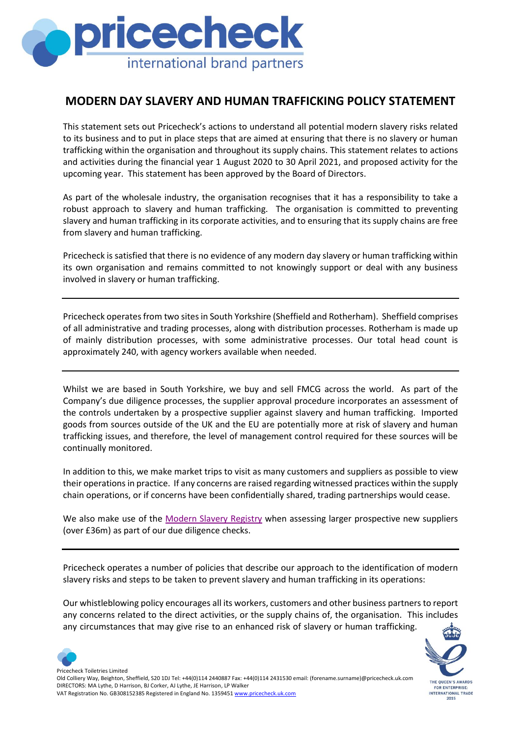

## **MODERN DAY SLAVERY AND HUMAN TRAFFICKING POLICY STATEMENT**

This statement sets out Pricecheck's actions to understand all potential modern slavery risks related to its business and to put in place steps that are aimed at ensuring that there is no slavery or human trafficking within the organisation and throughout its supply chains. This statement relates to actions and activities during the financial year 1 August 2020 to 30 April 2021, and proposed activity for the upcoming year. This statement has been approved by the Board of Directors.

As part of the wholesale industry, the organisation recognises that it has a responsibility to take a robust approach to slavery and human trafficking. The organisation is committed to preventing slavery and human trafficking in its corporate activities, and to ensuring that its supply chains are free from slavery and human trafficking.

Pricecheck is satisfied that there is no evidence of any modern day slavery or human trafficking within its own organisation and remains committed to not knowingly support or deal with any business involved in slavery or human trafficking.

Pricecheck operates from two sites in South Yorkshire (Sheffield and Rotherham). Sheffield comprises of all administrative and trading processes, along with distribution processes. Rotherham is made up of mainly distribution processes, with some administrative processes. Our total head count is approximately 240, with agency workers available when needed.

Whilst we are based in South Yorkshire, we buy and sell FMCG across the world. As part of the Company's due diligence processes, the supplier approval procedure incorporates an assessment of the controls undertaken by a prospective supplier against slavery and human trafficking. Imported goods from sources outside of the UK and the EU are potentially more at risk of slavery and human trafficking issues, and therefore, the level of management control required for these sources will be continually monitored.

In addition to this, we make market trips to visit as many customers and suppliers as possible to view their operations in practice. If any concerns are raised regarding witnessed practices within the supply chain operations, or if concerns have been confidentially shared, trading partnerships would cease.

We also make use of the [Modern Slavery Registry](https://www.business-humanrights.org/en/from-us/modern-slavery-statements/) when assessing larger prospective new suppliers (over £36m) as part of our due diligence checks.

Pricecheck operates a number of policies that describe our approach to the identification of modern slavery risks and steps to be taken to prevent slavery and human trafficking in its operations:

Our whistleblowing policy encourages all its workers, customers and other business partners to report any concerns related to the direct activities, or the supply chains of, the organisation. This includes any circumstances that may give rise to an enhanced risk of slavery or human trafficking.



Pricecheck Toiletries Limited Old Colliery Way, Beighton, Sheffield, S20 1DJ Tel: +44(0)114 2440887 Fax: +44(0)114 2431530 email: (forename.surname)@pricecheck.uk.com DIRECTORS: MA Lythe, D Harrison, BJ Corker, AJ Lythe, JE Harrison, LP Walker VAT Registration No. GB308152385 Registered in England No. 135945[1 www.pricecheck.uk.com](http://www.pricecheck.uk.com/)